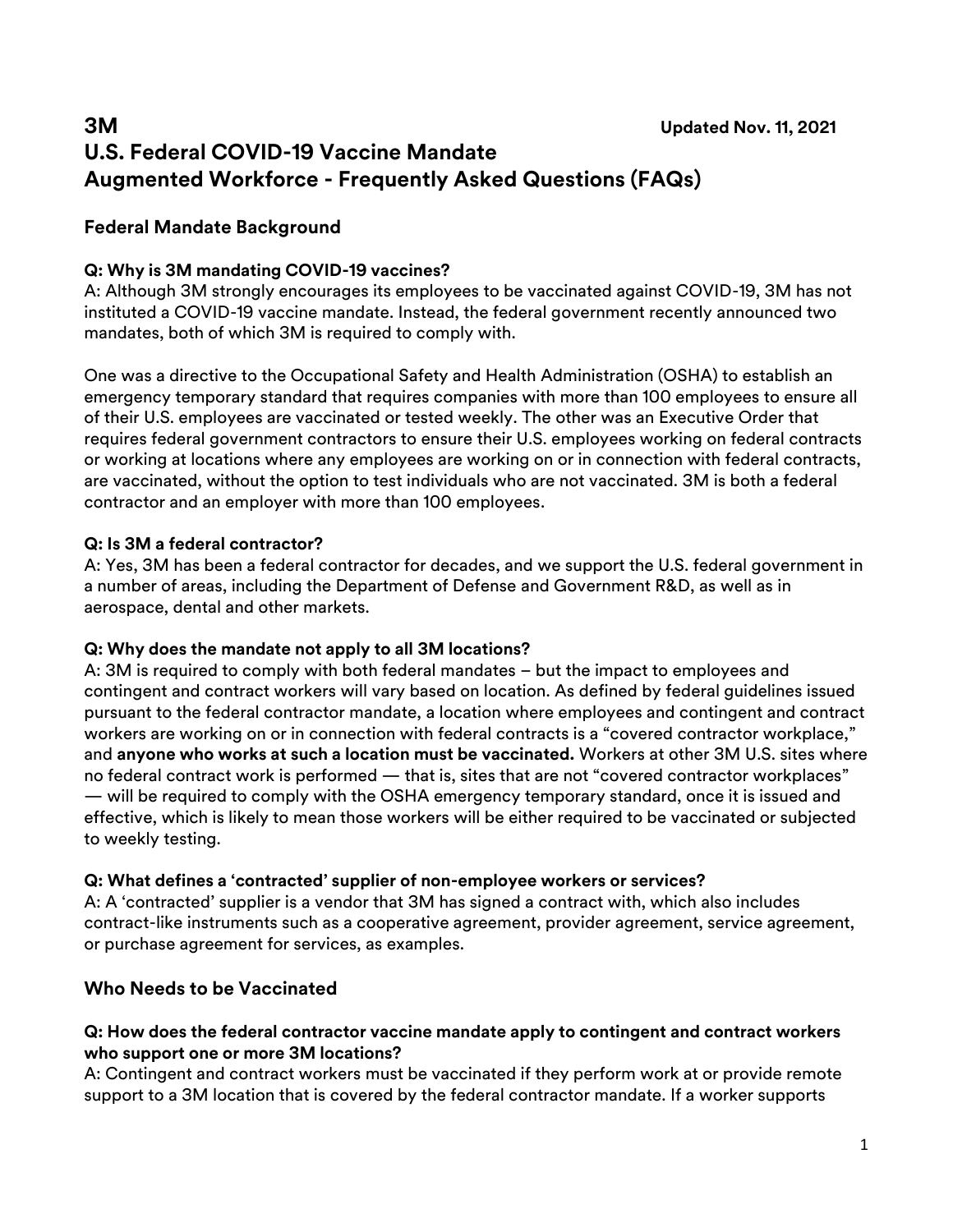# **3M Updated Nov. 11, 2021 U.S. Federal COVID-19 Vaccine Mandate Augmented Workforce - Frequently Asked Questions (FAQs)**

# **Federal Mandate Background**

## **Q: Why is 3M mandating COVID-19 vaccines?**

A: Although 3M strongly encourages its employees to be vaccinated against COVID-19, 3M has not instituted a COVID-19 vaccine mandate. Instead, the federal government recently announced two mandates, both of which 3M is required to comply with.

One was a directive to the Occupational Safety and Health Administration (OSHA) to establish an emergency temporary standard that requires companies with more than 100 employees to ensure all of their U.S. employees are vaccinated or tested weekly. The other was an Executive Order that requires federal government contractors to ensure their U.S. employees working on federal contracts or working at locations where any employees are working on or in connection with federal contracts, are vaccinated, without the option to test individuals who are not vaccinated. 3M is both a federal contractor and an employer with more than 100 employees.

## **Q: Is 3M a federal contractor?**

A: Yes, 3M has been a federal contractor for decades, and we support the U.S. federal government in a number of areas, including the Department of Defense and Government R&D, as well as in aerospace, dental and other markets.

#### **Q: Why does the mandate not apply to all 3M locations?**

A: 3M is required to comply with both federal mandates – but the impact to employees and contingent and contract workers will vary based on location. As defined by federal guidelines issued pursuant to the federal contractor mandate, a location where employees and contingent and contract workers are working on or in connection with federal contracts is a "covered contractor workplace," and **anyone who works at such a location must be vaccinated.** Workers at other 3M U.S. sites where no federal contract work is performed — that is, sites that are not "covered contractor workplaces" — will be required to comply with the OSHA emergency temporary standard, once it is issued and effective, which is likely to mean those workers will be either required to be vaccinated or subjected to weekly testing.

#### **Q: What defines a 'contracted' supplier of non-employee workers or services?**

A: A 'contracted' supplier is a vendor that 3M has signed a contract with, which also includes contract-like instruments such as a cooperative agreement, provider agreement, service agreement, or purchase agreement for services, as examples.

# **Who Needs to be Vaccinated**

#### **Q: How does the federal contractor vaccine mandate apply to contingent and contract workers who support one or more 3M locations?**

A: Contingent and contract workers must be vaccinated if they perform work at or provide remote support to a 3M location that is covered by the federal contractor mandate. If a worker supports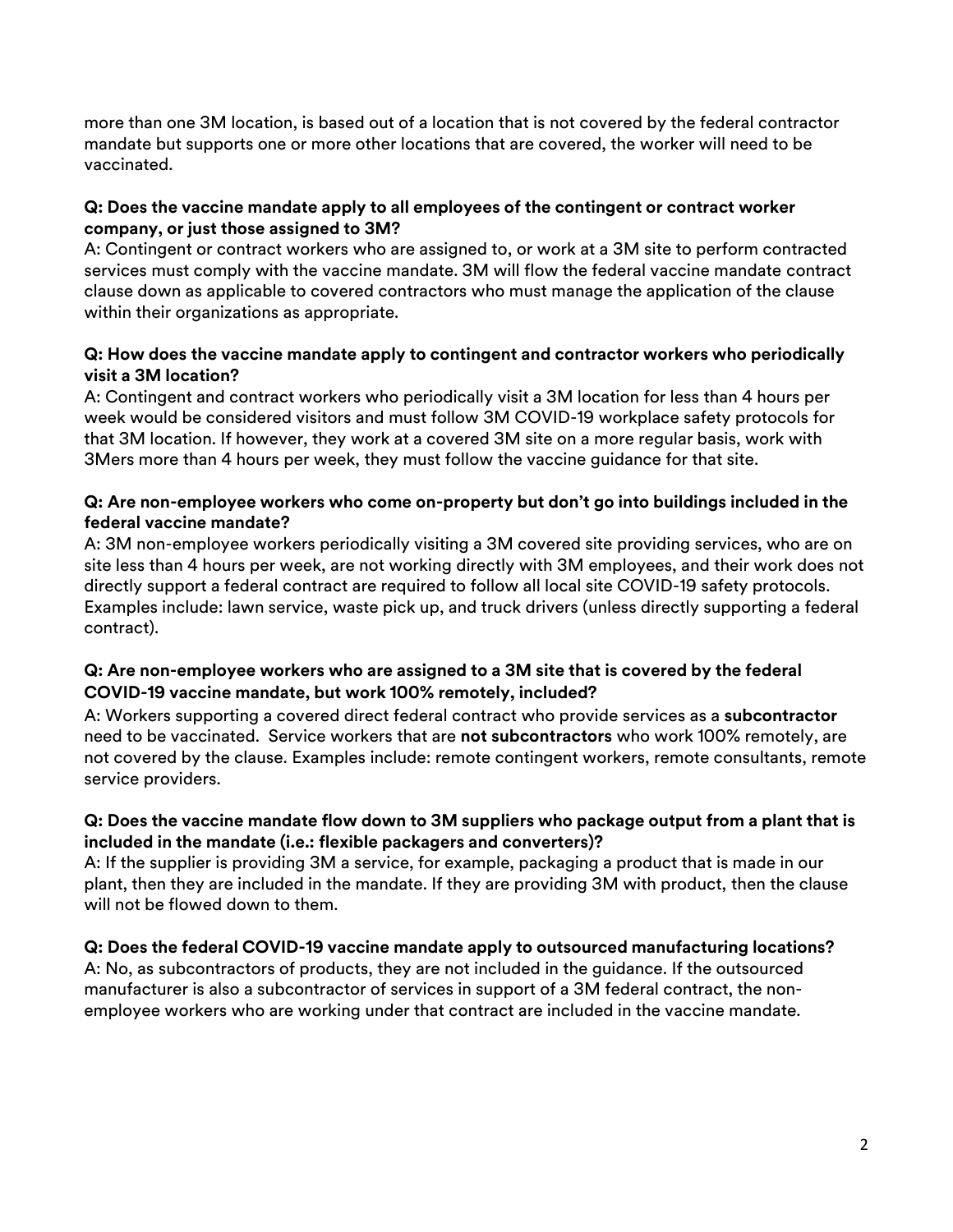more than one 3M location, is based out of a location that is not covered by the federal contractor mandate but supports one or more other locations that are covered, the worker will need to be vaccinated.

## **Q: Does the vaccine mandate apply to all employees of the contingent or contract worker company, or just those assigned to 3M?**

A: Contingent or contract workers who are assigned to, or work at a 3M site to perform contracted services must comply with the vaccine mandate. 3M will flow the federal vaccine mandate contract clause down as applicable to covered contractors who must manage the application of the clause within their organizations as appropriate.

#### **Q: How does the vaccine mandate apply to contingent and contractor workers who periodically visit a 3M location?**

A: Contingent and contract workers who periodically visit a 3M location for less than 4 hours per week would be considered visitors and must follow 3M COVID-19 workplace safety protocols for that 3M location. If however, they work at a covered 3M site on a more regular basis, work with 3Mers more than 4 hours per week, they must follow the vaccine guidance for that site.

## **Q: Are non-employee workers who come on-property but don't go into buildings included in the federal vaccine mandate?**

A: 3M non-employee workers periodically visiting a 3M covered site providing services, who are on site less than 4 hours per week, are not working directly with 3M employees, and their work does not directly support a federal contract are required to follow all local site COVID-19 safety protocols. Examples include: lawn service, waste pick up, and truck drivers (unless directly supporting a federal contract).

## **Q: Are non-employee workers who are assigned to a 3M site that is covered by the federal COVID-19 vaccine mandate, but work 100% remotely, included?**

A: Workers supporting a covered direct federal contract who provide services as a **subcontractor** need to be vaccinated. Service workers that are **not subcontractors** who work 100% remotely, are not covered by the clause. Examples include: remote contingent workers, remote consultants, remote service providers.

# **Q: Does the vaccine mandate flow down to 3M suppliers who package output from a plant that is included in the mandate (i.e.: flexible packagers and converters)?**

A: If the supplier is providing 3M a service, for example, packaging a product that is made in our plant, then they are included in the mandate. If they are providing 3M with product, then the clause will not be flowed down to them.

# **Q: Does the federal COVID-19 vaccine mandate apply to outsourced manufacturing locations?**

A: No, as subcontractors of products, they are not included in the guidance. If the outsourced manufacturer is also a subcontractor of services in support of a 3M federal contract, the nonemployee workers who are working under that contract are included in the vaccine mandate.